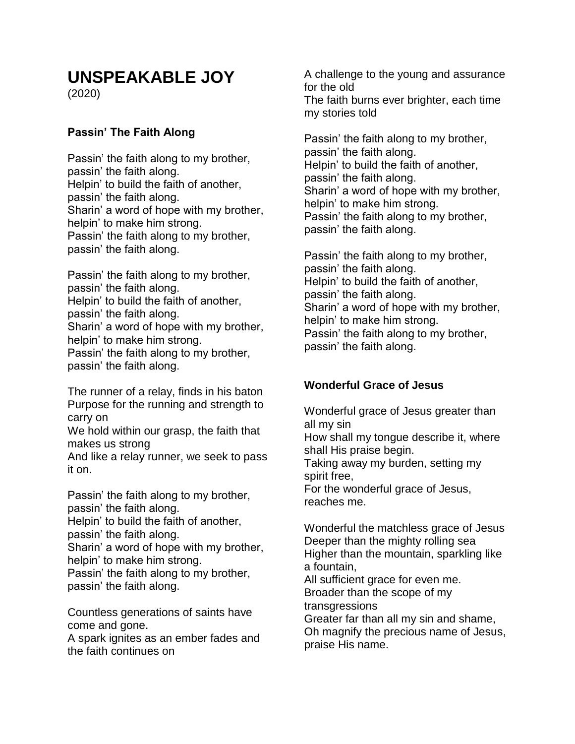# **UNSPEAKABLE JOY**

(2020)

## **Passin' The Faith Along**

Passin' the faith along to my brother, passin' the faith along. Helpin' to build the faith of another, passin' the faith along. Sharin' a word of hope with my brother, helpin' to make him strong. Passin' the faith along to my brother, passin' the faith along.

Passin' the faith along to my brother, passin' the faith along.

Helpin' to build the faith of another, passin' the faith along.

Sharin' a word of hope with my brother, helpin' to make him strong.

Passin' the faith along to my brother, passin' the faith along.

The runner of a relay, finds in his baton Purpose for the running and strength to carry on

We hold within our grasp, the faith that makes us strong

And like a relay runner, we seek to pass it on.

Passin' the faith along to my brother, passin' the faith along.

Helpin' to build the faith of another,

passin' the faith along.

Sharin' a word of hope with my brother, helpin' to make him strong.

Passin' the faith along to my brother, passin' the faith along.

Countless generations of saints have come and gone.

A spark ignites as an ember fades and the faith continues on

A challenge to the young and assurance for the old The faith burns ever brighter, each time my stories told

Passin' the faith along to my brother, passin' the faith along. Helpin' to build the faith of another, passin' the faith along. Sharin' a word of hope with my brother, helpin' to make him strong. Passin' the faith along to my brother, passin' the faith along.

Passin' the faith along to my brother, passin' the faith along. Helpin' to build the faith of another, passin' the faith along. Sharin' a word of hope with my brother, helpin' to make him strong. Passin' the faith along to my brother, passin' the faith along.

## **Wonderful Grace of Jesus**

Wonderful grace of Jesus greater than all my sin How shall my tongue describe it, where shall His praise begin. Taking away my burden, setting my spirit free, For the wonderful grace of Jesus, reaches me.

Wonderful the matchless grace of Jesus Deeper than the mighty rolling sea Higher than the mountain, sparkling like a fountain,

All sufficient grace for even me.

Broader than the scope of my

transgressions

Greater far than all my sin and shame, Oh magnify the precious name of Jesus, praise His name.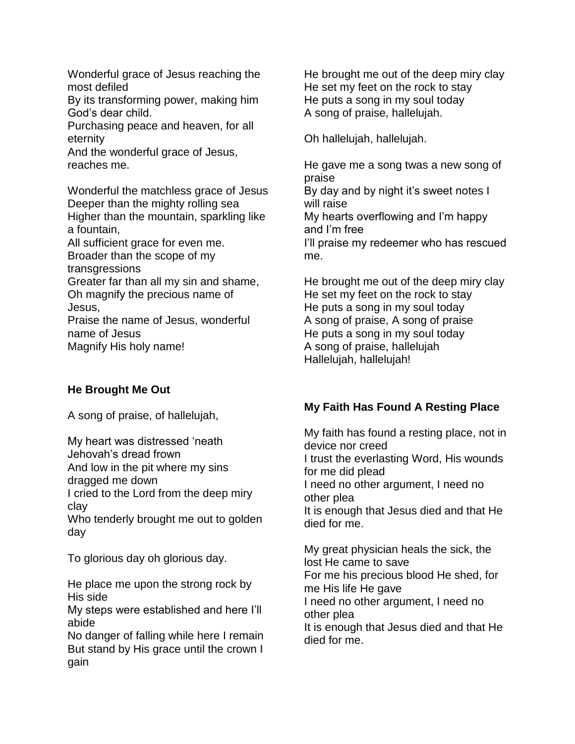Wonderful grace of Jesus reaching the most defiled

By its transforming power, making him God's dear child.

Purchasing peace and heaven, for all eternity

And the wonderful grace of Jesus, reaches me.

Wonderful the matchless grace of Jesus Deeper than the mighty rolling sea Higher than the mountain, sparkling like a fountain,

All sufficient grace for even me. Broader than the scope of my transgressions

Greater far than all my sin and shame, Oh magnify the precious name of

Jesus, Praise the name of Jesus, wonderful

name of Jesus

Magnify His holy name!

## **He Brought Me Out**

A song of praise, of hallelujah,

My heart was distressed 'neath Jehovah's dread frown And low in the pit where my sins

dragged me down

I cried to the Lord from the deep miry clay

Who tenderly brought me out to golden day

To glorious day oh glorious day.

He place me upon the strong rock by His side

My steps were established and here I'll abide

No danger of falling while here I remain But stand by His grace until the crown I gain

He brought me out of the deep miry clay He set my feet on the rock to stay He puts a song in my soul today A song of praise, hallelujah.

Oh hallelujah, hallelujah.

He gave me a song twas a new song of praise

By day and by night it's sweet notes I will raise

My hearts overflowing and I'm happy and I'm free

I'll praise my redeemer who has rescued me.

He brought me out of the deep miry clay He set my feet on the rock to stay He puts a song in my soul today A song of praise, A song of praise He puts a song in my soul today A song of praise, hallelujah Hallelujah, hallelujah!

## **My Faith Has Found A Resting Place**

My faith has found a resting place, not in device nor creed I trust the everlasting Word, His wounds for me did plead I need no other argument, I need no other plea It is enough that Jesus died and that He died for me. My great physician heals the sick, the lost He came to save For me his precious blood He shed, for me His life He gave I need no other argument, I need no

other plea It is enough that Jesus died and that He died for me.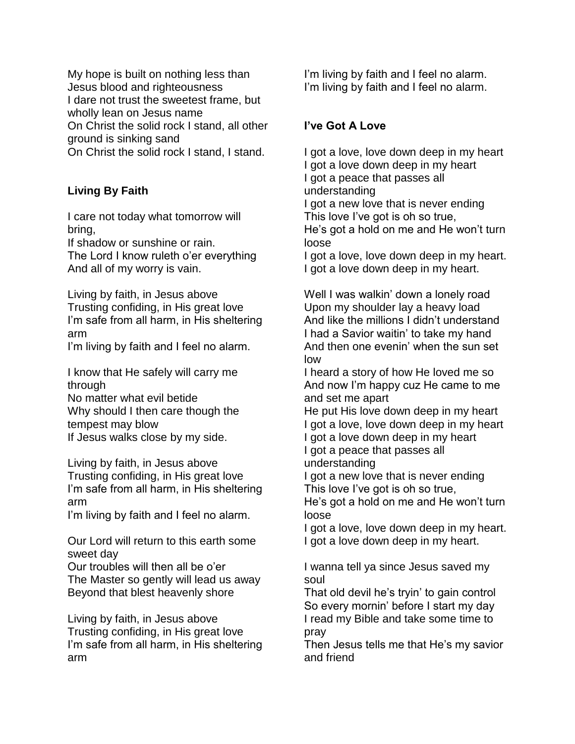My hope is built on nothing less than Jesus blood and righteousness I dare not trust the sweetest frame, but wholly lean on Jesus name On Christ the solid rock I stand, all other ground is sinking sand On Christ the solid rock I stand, I stand.

## **Living By Faith**

I care not today what tomorrow will bring,

If shadow or sunshine or rain. The Lord I know ruleth o'er everything And all of my worry is vain.

Living by faith, in Jesus above Trusting confiding, in His great love I'm safe from all harm, in His sheltering arm

I'm living by faith and I feel no alarm.

I know that He safely will carry me through

No matter what evil betide Why should I then care though the tempest may blow If Jesus walks close by my side.

Living by faith, in Jesus above Trusting confiding, in His great love I'm safe from all harm, in His sheltering arm

I'm living by faith and I feel no alarm.

Our Lord will return to this earth some sweet day

Our troubles will then all be o'er The Master so gently will lead us away Beyond that blest heavenly shore

Living by faith, in Jesus above Trusting confiding, in His great love I'm safe from all harm, in His sheltering arm

I'm living by faith and I feel no alarm. I'm living by faith and I feel no alarm.

### **I've Got A Love**

I got a love, love down deep in my heart I got a love down deep in my heart I got a peace that passes all understanding I got a new love that is never ending This love I've got is oh so true, He's got a hold on me and He won't turn loose I got a love, love down deep in my heart. I got a love down deep in my heart.

Well I was walkin' down a lonely road Upon my shoulder lay a heavy load And like the millions I didn't understand I had a Savior waitin' to take my hand And then one evenin' when the sun set low

I heard a story of how He loved me so And now I'm happy cuz He came to me and set me apart

He put His love down deep in my heart I got a love, love down deep in my heart I got a love down deep in my heart

I got a peace that passes all understanding

I got a new love that is never ending This love I've got is oh so true,

He's got a hold on me and He won't turn loose

I got a love, love down deep in my heart. I got a love down deep in my heart.

I wanna tell ya since Jesus saved my soul

That old devil he's tryin' to gain control So every mornin' before I start my day I read my Bible and take some time to pray

Then Jesus tells me that He's my savior and friend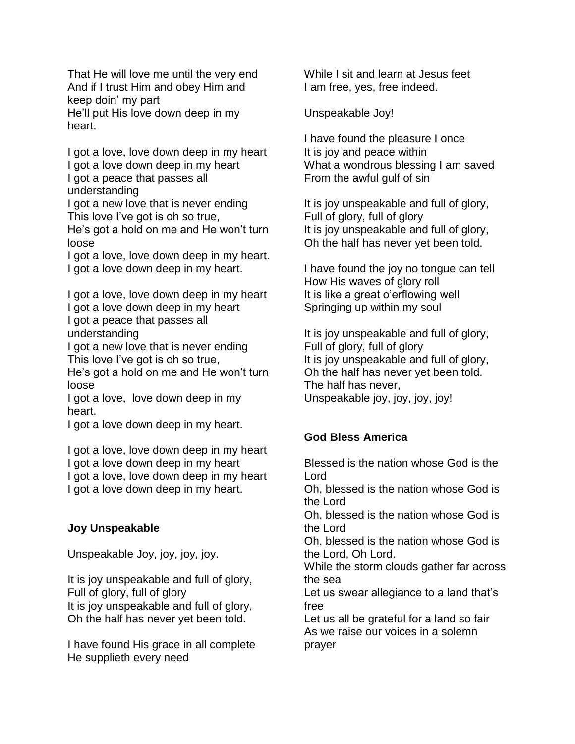That He will love me until the very end And if I trust Him and obey Him and keep doin' my part He'll put His love down deep in my heart.

I got a love, love down deep in my heart I got a love down deep in my heart I got a peace that passes all understanding

I got a new love that is never ending This love I've got is oh so true,

He's got a hold on me and He won't turn loose

I got a love, love down deep in my heart. I got a love down deep in my heart.

I got a love, love down deep in my heart I got a love down deep in my heart I got a peace that passes all understanding

I got a new love that is never ending This love I've got is oh so true,

He's got a hold on me and He won't turn loose

I got a love, love down deep in my heart.

I got a love down deep in my heart.

I got a love, love down deep in my heart I got a love down deep in my heart I got a love, love down deep in my heart I got a love down deep in my heart.

### **Joy Unspeakable**

Unspeakable Joy, joy, joy, joy.

It is joy unspeakable and full of glory, Full of glory, full of glory It is joy unspeakable and full of glory, Oh the half has never yet been told.

I have found His grace in all complete He supplieth every need

While I sit and learn at Jesus feet I am free, yes, free indeed.

Unspeakable Joy!

I have found the pleasure I once It is joy and peace within What a wondrous blessing I am saved From the awful gulf of sin

It is joy unspeakable and full of glory, Full of glory, full of glory It is joy unspeakable and full of glory, Oh the half has never yet been told.

I have found the joy no tongue can tell How His waves of glory roll It is like a great o'erflowing well Springing up within my soul

It is joy unspeakable and full of glory, Full of glory, full of glory It is joy unspeakable and full of glory, Oh the half has never yet been told. The half has never, Unspeakable joy, joy, joy, joy!

## **God Bless America**

Blessed is the nation whose God is the Lord Oh, blessed is the nation whose God is the Lord Oh, blessed is the nation whose God is the Lord Oh, blessed is the nation whose God is the Lord, Oh Lord. While the storm clouds gather far across the sea Let us swear allegiance to a land that's free Let us all be grateful for a land so fair As we raise our voices in a solemn prayer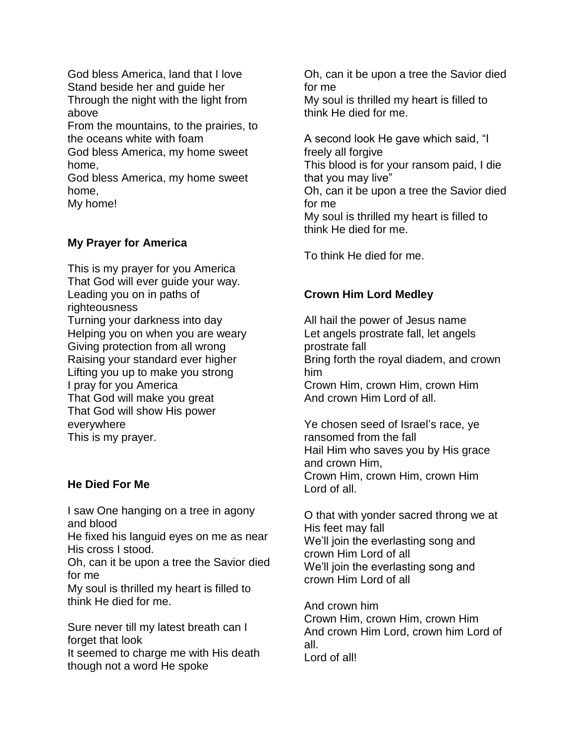God bless America, land that I love Stand beside her and guide her Through the night with the light from above From the mountains, to the prairies, to the oceans white with foam God bless America, my home sweet home, God bless America, my home sweet home,

My home!

### **My Prayer for America**

This is my prayer for you America That God will ever guide your way. Leading you on in paths of righteousness Turning your darkness into day Helping you on when you are weary Giving protection from all wrong Raising your standard ever higher Lifting you up to make you strong I pray for you America That God will make you great That God will show His power everywhere This is my prayer.

#### **He Died For Me**

I saw One hanging on a tree in agony and blood

He fixed his languid eyes on me as near His cross I stood.

Oh, can it be upon a tree the Savior died for me

My soul is thrilled my heart is filled to think He died for me.

Sure never till my latest breath can I forget that look

It seemed to charge me with His death though not a word He spoke

Oh, can it be upon a tree the Savior died for me My soul is thrilled my heart is filled to think He died for me.

A second look He gave which said, "I freely all forgive This blood is for your ransom paid, I die that you may live" Oh, can it be upon a tree the Savior died for me My soul is thrilled my heart is filled to think He died for me.

To think He died for me.

### **Crown Him Lord Medley**

All hail the power of Jesus name Let angels prostrate fall, let angels prostrate fall Bring forth the royal diadem, and crown him Crown Him, crown Him, crown Him And crown Him Lord of all.

Ye chosen seed of Israel's race, ye ransomed from the fall Hail Him who saves you by His grace and crown Him, Crown Him, crown Him, crown Him Lord of all.

O that with yonder sacred throng we at His feet may fall We'll join the everlasting song and crown Him Lord of all We'll join the everlasting song and crown Him Lord of all

And crown him Crown Him, crown Him, crown Him And crown Him Lord, crown him Lord of all.

Lord of all!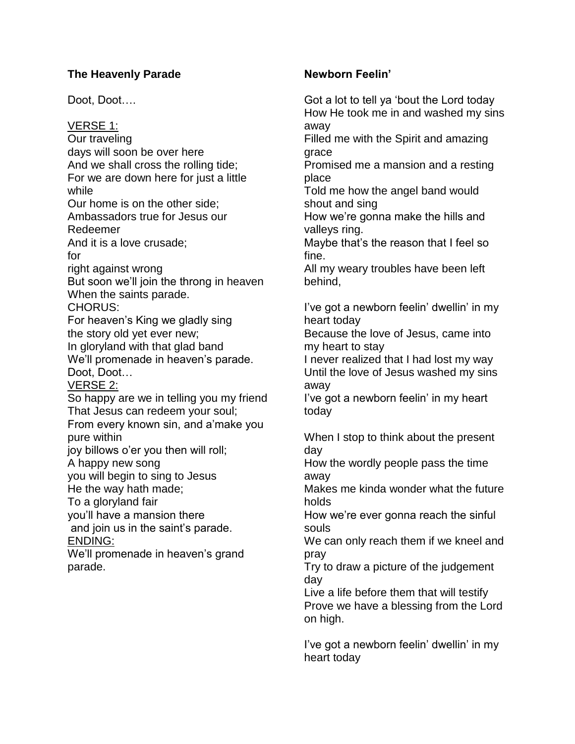### **The Heavenly Parade**

Doot, Doot….

#### VERSE 1:

Our traveling days will soon be over here And we shall cross the rolling tide; For we are down here for just a little while Our home is on the other side; Ambassadors true for Jesus our Redeemer And it is a love crusade; for right against wrong But soon we'll join the throng in heaven When the saints parade. CHORUS: For heaven's King we gladly sing the story old yet ever new; In gloryland with that glad band We'll promenade in heaven's parade. Doot, Doot… VERSE 2: So happy are we in telling you my friend That Jesus can redeem your soul; From every known sin, and a'make you pure within joy billows o'er you then will roll; A happy new song you will begin to sing to Jesus He the way hath made; To a gloryland fair you'll have a mansion there and join us in the saint's parade. ENDING: We'll promenade in heaven's grand parade.

### **Newborn Feelin'**

Got a lot to tell ya 'bout the Lord today How He took me in and washed my sins away Filled me with the Spirit and amazing grace Promised me a mansion and a resting place Told me how the angel band would shout and sing How we're gonna make the hills and valleys ring. Maybe that's the reason that I feel so fine. All my weary troubles have been left behind, I've got a newborn feelin' dwellin' in my heart today Because the love of Jesus, came into my heart to stay I never realized that I had lost my way Until the love of Jesus washed my sins away I've got a newborn feelin' in my heart today When I stop to think about the present day How the wordly people pass the time away Makes me kinda wonder what the future holds

How we're ever gonna reach the sinful souls

We can only reach them if we kneel and pray

Try to draw a picture of the judgement day

Live a life before them that will testify Prove we have a blessing from the Lord on high.

I've got a newborn feelin' dwellin' in my heart today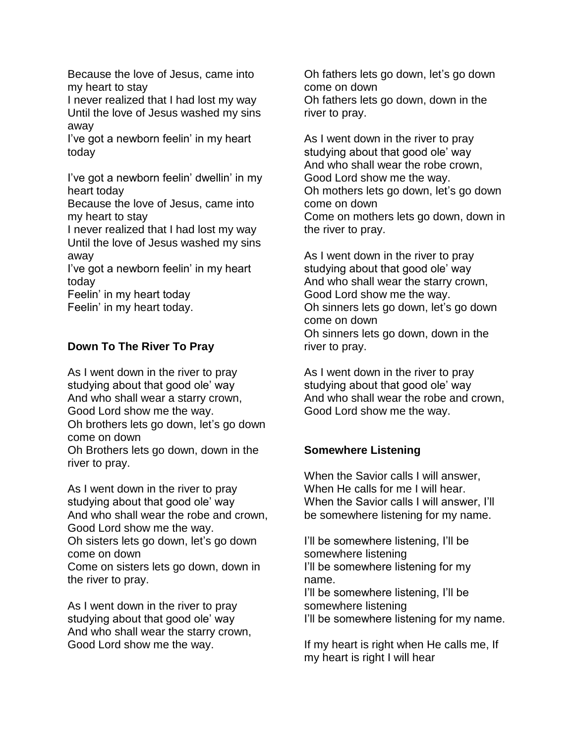Because the love of Jesus, came into my heart to stay

I never realized that I had lost my way Until the love of Jesus washed my sins away

I've got a newborn feelin' in my heart today

I've got a newborn feelin' dwellin' in my heart today

Because the love of Jesus, came into my heart to stay

I never realized that I had lost my way Until the love of Jesus washed my sins away

I've got a newborn feelin' in my heart today

Feelin' in my heart today Feelin' in my heart today.

#### **Down To The River To Pray**

As I went down in the river to pray studying about that good ole' way And who shall wear a starry crown, Good Lord show me the way.

Oh brothers lets go down, let's go down come on down

Oh Brothers lets go down, down in the river to pray.

As I went down in the river to pray studying about that good ole' way And who shall wear the robe and crown, Good Lord show me the way. Oh sisters lets go down, let's go down come on down Come on sisters lets go down, down in the river to pray.

As I went down in the river to pray studying about that good ole' way And who shall wear the starry crown, Good Lord show me the way.

Oh fathers lets go down, let's go down come on down Oh fathers lets go down, down in the river to pray.

As I went down in the river to pray studying about that good ole' way And who shall wear the robe crown, Good Lord show me the way. Oh mothers lets go down, let's go down come on down Come on mothers lets go down, down in the river to pray.

As I went down in the river to pray studying about that good ole' way And who shall wear the starry crown, Good Lord show me the way. Oh sinners lets go down, let's go down come on down Oh sinners lets go down, down in the river to pray.

As I went down in the river to pray studying about that good ole' way And who shall wear the robe and crown, Good Lord show me the way.

#### **Somewhere Listening**

When the Savior calls I will answer, When He calls for me I will hear. When the Savior calls I will answer, I'll be somewhere listening for my name.

I'll be somewhere listening, I'll be somewhere listening I'll be somewhere listening for my name.

I'll be somewhere listening, I'll be somewhere listening I'll be somewhere listening for my name.

If my heart is right when He calls me, If my heart is right I will hear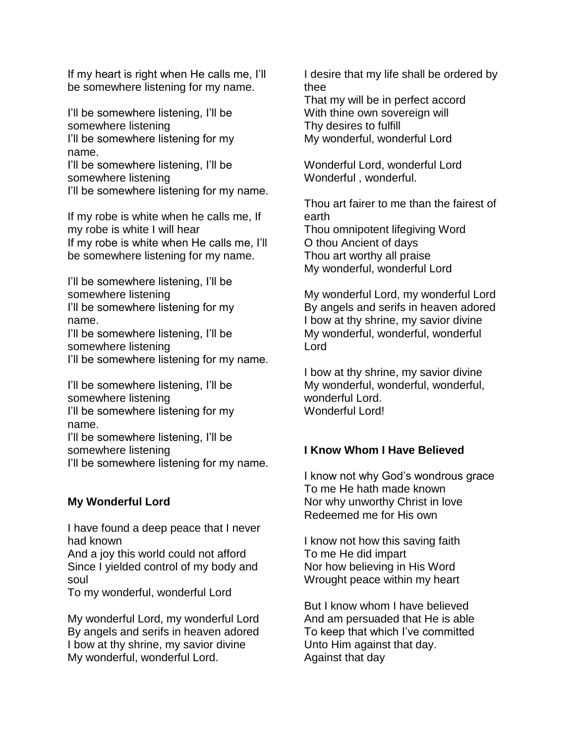If my heart is right when He calls me, I'll be somewhere listening for my name.

I'll be somewhere listening, I'll be somewhere listening I'll be somewhere listening for my name. I'll be somewhere listening, I'll be somewhere listening

I'll be somewhere listening for my name.

If my robe is white when he calls me, If my robe is white I will hear If my robe is white when He calls me, I'll be somewhere listening for my name.

I'll be somewhere listening, I'll be somewhere listening I'll be somewhere listening for my name. I'll be somewhere listening, I'll be somewhere listening

I'll be somewhere listening for my name.

I'll be somewhere listening, I'll be somewhere listening I'll be somewhere listening for my name.

I'll be somewhere listening, I'll be somewhere listening

I'll be somewhere listening for my name.

#### **My Wonderful Lord**

I have found a deep peace that I never had known

And a joy this world could not afford Since I yielded control of my body and soul

To my wonderful, wonderful Lord

My wonderful Lord, my wonderful Lord By angels and serifs in heaven adored I bow at thy shrine, my savior divine My wonderful, wonderful Lord.

I desire that my life shall be ordered by thee

That my will be in perfect accord With thine own sovereign will Thy desires to fulfill My wonderful, wonderful Lord

Wonderful Lord, wonderful Lord Wonderful , wonderful.

Thou art fairer to me than the fairest of earth Thou omnipotent lifegiving Word O thou Ancient of days Thou art worthy all praise My wonderful, wonderful Lord

My wonderful Lord, my wonderful Lord By angels and serifs in heaven adored I bow at thy shrine, my savior divine My wonderful, wonderful, wonderful Lord

I bow at thy shrine, my savior divine My wonderful, wonderful, wonderful, wonderful Lord. Wonderful Lord!

#### **I Know Whom I Have Believed**

I know not why God's wondrous grace To me He hath made known Nor why unworthy Christ in love Redeemed me for His own

I know not how this saving faith To me He did impart Nor how believing in His Word Wrought peace within my heart

But I know whom I have believed And am persuaded that He is able To keep that which I've committed Unto Him against that day. Against that day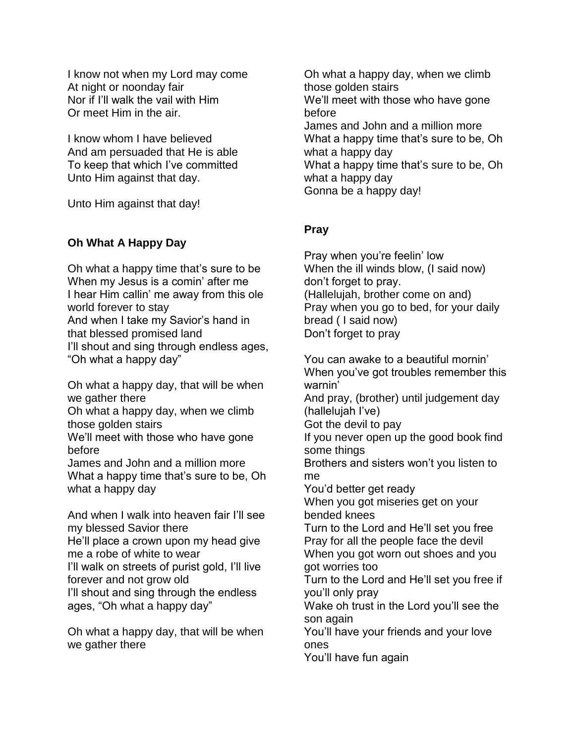I know not when my Lord may come At night or noonday fair Nor if I'll walk the vail with Him Or meet Him in the air.

I know whom I have believed And am persuaded that He is able To keep that which I've committed Unto Him against that day.

Unto Him against that day!

## **Oh What A Happy Day**

Oh what a happy time that's sure to be When my Jesus is a comin' after me I hear Him callin' me away from this ole world forever to stay And when I take my Savior's hand in that blessed promised land I'll shout and sing through endless ages, "Oh what a happy day"

Oh what a happy day, that will be when we gather there

Oh what a happy day, when we climb those golden stairs

We'll meet with those who have gone before

James and John and a million more What a happy time that's sure to be, Oh what a happy day

And when I walk into heaven fair I'll see my blessed Savior there He'll place a crown upon my head give me a robe of white to wear I'll walk on streets of purist gold, I'll live forever and not grow old I'll shout and sing through the endless ages, "Oh what a happy day"

Oh what a happy day, that will be when we gather there

Oh what a happy day, when we climb those golden stairs We'll meet with those who have gone before James and John and a million more What a happy time that's sure to be, Oh what a happy day What a happy time that's sure to be, Oh what a happy day Gonna be a happy day!

## **Pray**

Pray when you're feelin' low When the ill winds blow, (I said now) don't forget to pray. (Hallelujah, brother come on and) Pray when you go to bed, for your daily bread ( I said now) Don't forget to pray

You can awake to a beautiful mornin' When you've got troubles remember this warnin' And pray, (brother) until judgement day (hallelujah I've) Got the devil to pay If you never open up the good book find some things Brothers and sisters won't you listen to me You'd better get ready When you got miseries get on your bended knees Turn to the Lord and He'll set you free Pray for all the people face the devil When you got worn out shoes and you got worries too Turn to the Lord and He'll set you free if you'll only pray Wake oh trust in the Lord you'll see the son again You'll have your friends and your love ones You'll have fun again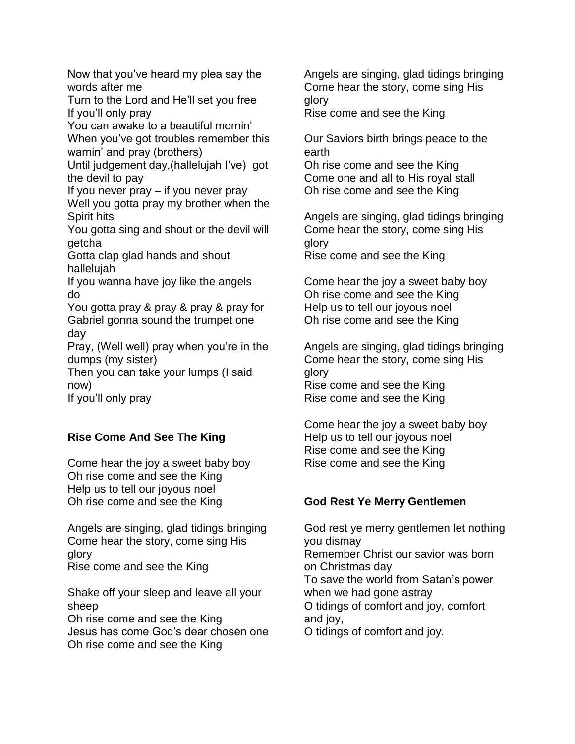Now that you've heard my plea say the words after me

Turn to the Lord and He'll set you free If you'll only pray

You can awake to a beautiful mornin' When you've got troubles remember this warnin' and pray (brothers)

Until judgement day,(hallelujah I've) got the devil to pay

If you never pray – if you never pray

Well you gotta pray my brother when the Spirit hits

You gotta sing and shout or the devil will getcha

Gotta clap glad hands and shout hallelujah

If you wanna have joy like the angels do

You gotta pray & pray & pray & pray for Gabriel gonna sound the trumpet one day

Pray, (Well well) pray when you're in the dumps (my sister)

Then you can take your lumps (I said now)

If you'll only pray

## **Rise Come And See The King**

Come hear the joy a sweet baby boy Oh rise come and see the King Help us to tell our joyous noel Oh rise come and see the King

Angels are singing, glad tidings bringing Come hear the story, come sing His glory Rise come and see the King

Shake off your sleep and leave all your sheep Oh rise come and see the King Jesus has come God's dear chosen one

Oh rise come and see the King

Angels are singing, glad tidings bringing Come hear the story, come sing His glory

Rise come and see the King

Our Saviors birth brings peace to the earth

Oh rise come and see the King Come one and all to His royal stall Oh rise come and see the King

Angels are singing, glad tidings bringing Come hear the story, come sing His glory Rise come and see the King

Come hear the joy a sweet baby boy Oh rise come and see the King Help us to tell our joyous noel Oh rise come and see the King

Angels are singing, glad tidings bringing Come hear the story, come sing His glory Rise come and see the King Rise come and see the King

Come hear the joy a sweet baby boy Help us to tell our joyous noel Rise come and see the King Rise come and see the King

## **God Rest Ye Merry Gentlemen**

God rest ye merry gentlemen let nothing you dismay Remember Christ our savior was born on Christmas day To save the world from Satan's power when we had gone astray O tidings of comfort and joy, comfort and joy, O tidings of comfort and joy.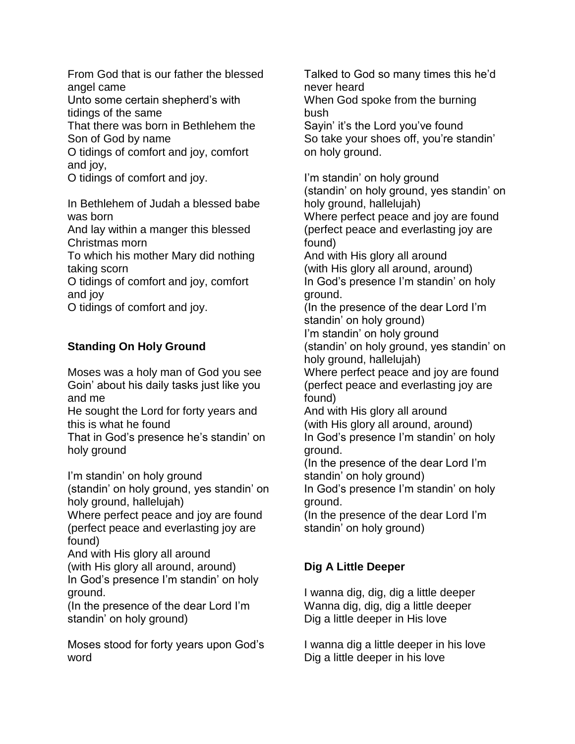From God that is our father the blessed angel came

Unto some certain shepherd's with tidings of the same

That there was born in Bethlehem the Son of God by name

O tidings of comfort and joy, comfort and joy,

O tidings of comfort and joy.

In Bethlehem of Judah a blessed babe was born

And lay within a manger this blessed Christmas morn

To which his mother Mary did nothing taking scorn

O tidings of comfort and joy, comfort and joy

O tidings of comfort and joy.

## **Standing On Holy Ground**

Moses was a holy man of God you see Goin' about his daily tasks just like you and me

He sought the Lord for forty years and this is what he found

That in God's presence he's standin' on holy ground

I'm standin' on holy ground

(standin' on holy ground, yes standin' on holy ground, hallelujah)

Where perfect peace and joy are found (perfect peace and everlasting joy are found)

And with His glory all around (with His glory all around, around) In God's presence I'm standin' on holy ground.

(In the presence of the dear Lord I'm standin' on holy ground)

Moses stood for forty years upon God's word

Talked to God so many times this he'd never heard

When God spoke from the burning bush

Sayin' it's the Lord you've found So take your shoes off, you're standin' on holy ground.

I'm standin' on holy ground (standin' on holy ground, yes standin' on holy ground, hallelujah)

Where perfect peace and joy are found (perfect peace and everlasting joy are found)

And with His glory all around (with His glory all around, around) In God's presence I'm standin' on holy ground.

(In the presence of the dear Lord I'm standin' on holy ground)

I'm standin' on holy ground

(standin' on holy ground, yes standin' on holy ground, hallelujah)

Where perfect peace and joy are found (perfect peace and everlasting joy are found)

And with His glory all around (with His glory all around, around) In God's presence I'm standin' on holy ground.

(In the presence of the dear Lord I'm standin' on holy ground)

In God's presence I'm standin' on holy ground.

(In the presence of the dear Lord I'm standin' on holy ground)

## **Dig A Little Deeper**

I wanna dig, dig, dig a little deeper Wanna dig, dig, dig a little deeper Dig a little deeper in His love

I wanna dig a little deeper in his love Dig a little deeper in his love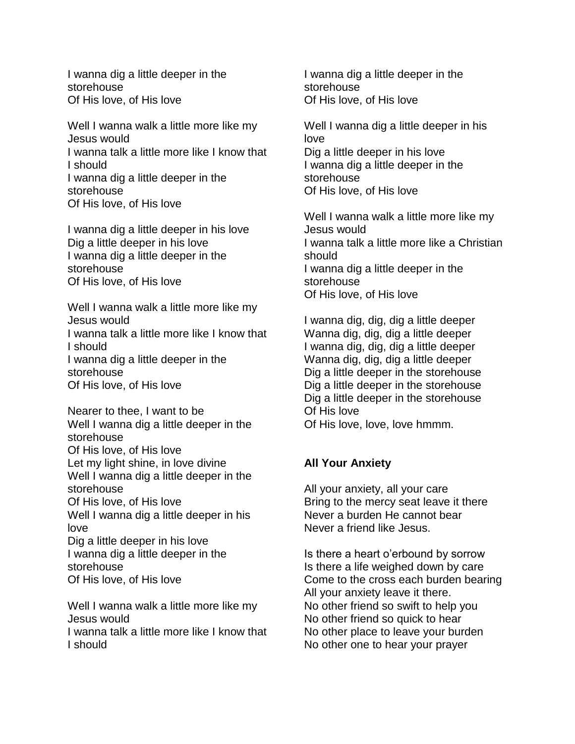I wanna dig a little deeper in the storehouse Of His love, of His love

Well I wanna walk a little more like my Jesus would I wanna talk a little more like I know that I should I wanna dig a little deeper in the storehouse Of His love, of His love

I wanna dig a little deeper in his love Dig a little deeper in his love I wanna dig a little deeper in the storehouse Of His love, of His love

Well I wanna walk a little more like my Jesus would I wanna talk a little more like I know that I should I wanna dig a little deeper in the storehouse Of His love, of His love

Nearer to thee, I want to be Well I wanna dig a little deeper in the storehouse Of His love, of His love Let my light shine, in love divine Well I wanna dig a little deeper in the storehouse Of His love, of His love Well I wanna dig a little deeper in his love Dig a little deeper in his love I wanna dig a little deeper in the storehouse Of His love, of His love

Well I wanna walk a little more like my Jesus would I wanna talk a little more like I know that I should

I wanna dig a little deeper in the storehouse Of His love, of His love

Well I wanna dig a little deeper in his love Dig a little deeper in his love I wanna dig a little deeper in the storehouse Of His love, of His love

Well I wanna walk a little more like my Jesus would I wanna talk a little more like a Christian should I wanna dig a little deeper in the storehouse Of His love, of His love

I wanna dig, dig, dig a little deeper Wanna dig, dig, dig a little deeper I wanna dig, dig, dig a little deeper Wanna dig, dig, dig a little deeper Dig a little deeper in the storehouse Dig a little deeper in the storehouse Dig a little deeper in the storehouse Of His love

### Of His love, love, love hmmm.

#### **All Your Anxiety**

All your anxiety, all your care Bring to the mercy seat leave it there Never a burden He cannot bear Never a friend like Jesus.

Is there a heart o'erbound by sorrow Is there a life weighed down by care Come to the cross each burden bearing All your anxiety leave it there. No other friend so swift to help you No other friend so quick to hear No other place to leave your burden No other one to hear your prayer